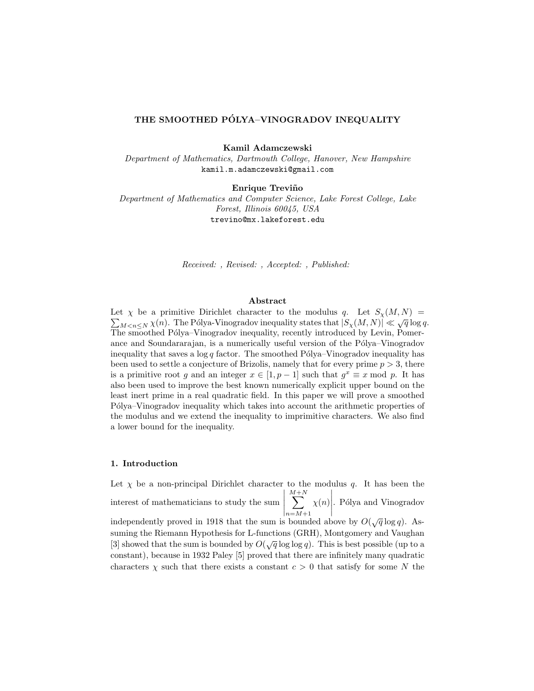# THE SMOOTHED PÓLYA-VINOGRADOV INEQUALITY

Kamil Adamczewski

Department of Mathematics, Dartmouth College, Hanover, New Hampshire kamil.m.adamczewski@gmail.com

Enrique Treviño

Department of Mathematics and Computer Science, Lake Forest College, Lake Forest, Illinois 60045, USA trevino@mx.lakeforest.edu

Received: , Revised: , Accepted: , Published:

### Abstract

Let  $\chi$  be a primitive Dirichlet character to the modulus q. Let  $S_{\chi}(M, N)$  =  $\sum_{M \leq n \leq N} \chi(n)$ . The Pólya-Vinogradov inequality states that  $|S_{\chi}(M, N)| \ll \sqrt{q} \log q$ . The smoothed Pólya–Vinogradov inequality, recently introduced by Levin, Pomerance and Soundararajan, is a numerically useful version of the Pólya–Vinogradov inequality that saves a  $\log q$  factor. The smoothed Pólya–Vinogradov inequality has been used to settle a conjecture of Brizolis, namely that for every prime  $p > 3$ , there is a primitive root g and an integer  $x \in [1, p-1]$  such that  $g^x \equiv x \mod p$ . It has also been used to improve the best known numerically explicit upper bound on the least inert prime in a real quadratic field. In this paper we will prove a smoothed Pólya–Vinogradov inequality which takes into account the arithmetic properties of the modulus and we extend the inequality to imprimitive characters. We also find a lower bound for the inequality.

## 1. Introduction

Let  $\chi$  be a non-principal Dirichlet character to the modulus q. It has been the interest of mathematicians to study the sum  $\begin{array}{c} \hline \end{array}$  $\sum^{M+N}$  $n = M+1$  $\chi(n)$  . Pólya and Vinogradov independently proved in 1918 that the sum is bounded above by  $O(\sqrt{q}\log q)$ . Assuming the Riemann Hypothesis for L-functions (GRH), Montgomery and Vaughan [3] showed that the sum is bounded by  $O(\sqrt{q}\log\log q)$ . This is best possible (up to a

constant), because in 1932 Paley [5] proved that there are infinitely many quadratic characters  $\chi$  such that there exists a constant  $c > 0$  that satisfy for some N the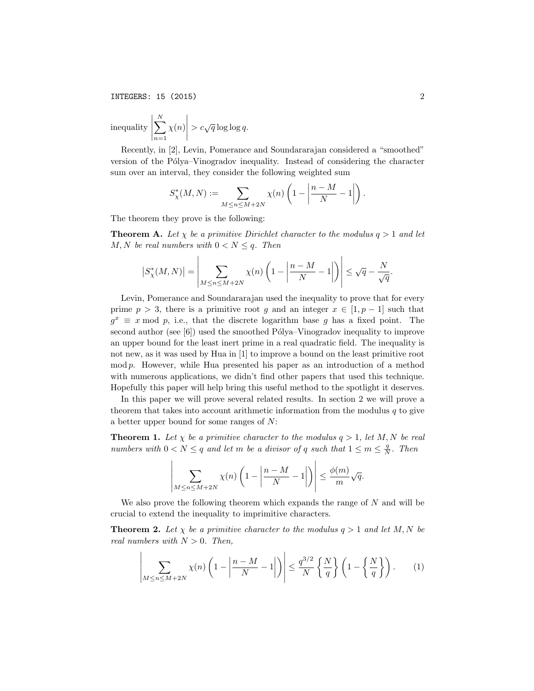INTEGERS: 15 (2015) 2

inequality 
$$
\left| \sum_{n=1}^{N} \chi(n) \right| > c\sqrt{q} \log \log q
$$
.

Recently, in [2], Levin, Pomerance and Soundararajan considered a "smoothed" version of the Pólya–Vinogradov inequality. Instead of considering the character sum over an interval, they consider the following weighted sum

$$
S_{\chi}^*(M,N) := \sum_{M \le n \le M+2N} \chi(n) \left(1 - \left|\frac{n-M}{N} - 1\right|\right).
$$

The theorem they prove is the following:

**Theorem A.** Let  $\chi$  be a primitive Dirichlet character to the modulus  $q > 1$  and let M, N be real numbers with  $0 < N \leq q$ . Then

$$
\left|S^*_\chi(M,N)\right| = \left|\sum_{M \le n \le M+2N} \chi(n) \left(1 - \left|\frac{n-M}{N} - 1\right|\right)\right| \le \sqrt{q} - \frac{N}{\sqrt{q}}.
$$

Levin, Pomerance and Soundararajan used the inequality to prove that for every prime  $p > 3$ , there is a primitive root g and an integer  $x \in [1, p-1]$  such that  $g^x \equiv x \mod p$ , i.e., that the discrete logarithm base g has a fixed point. The second author (see  $[6]$ ) used the smoothed Pólya–Vinogradov inequality to improve an upper bound for the least inert prime in a real quadratic field. The inequality is not new, as it was used by Hua in [1] to improve a bound on the least primitive root mod  $p$ . However, while Hua presented his paper as an introduction of a method with numerous applications, we didn't find other papers that used this technique. Hopefully this paper will help bring this useful method to the spotlight it deserves.

In this paper we will prove several related results. In section 2 we will prove a theorem that takes into account arithmetic information from the modulus  $q$  to give a better upper bound for some ranges of N:

**Theorem 1.** Let  $\chi$  be a primitive character to the modulus  $q > 1$ , let M, N be real numbers with  $0 < N \leq q$  and let m be a divisor of q such that  $1 \leq m \leq \frac{q}{N}$ . Then

$$
\left|\sum_{M\leq n\leq M+2N}\chi(n)\left(1-\left|\frac{n-M}{N}-1\right|\right)\right|\leq \frac{\phi(m)}{m}\sqrt{q}.
$$

We also prove the following theorem which expands the range of  $N$  and will be crucial to extend the inequality to imprimitive characters.

**Theorem 2.** Let  $\chi$  be a primitive character to the modulus  $q > 1$  and let M, N be real numbers with  $N > 0$ . Then,

$$
\left| \sum_{M \le n \le M+2N} \chi(n) \left( 1 - \left| \frac{n-M}{N} - 1 \right| \right) \right| \le \frac{q^{3/2}}{N} \left\{ \frac{N}{q} \right\} \left( 1 - \left\{ \frac{N}{q} \right\} \right). \tag{1}
$$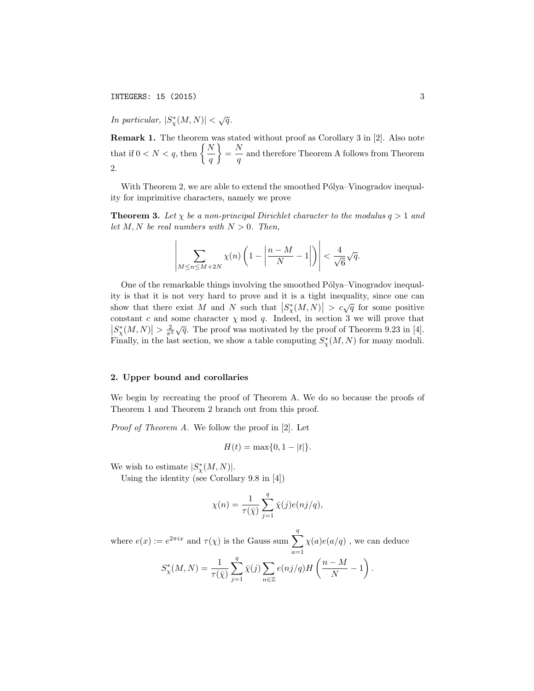In particular,  $|S^*_{\chi}(M,N)| < \sqrt{q}$ .

Remark 1. The theorem was stated without proof as Corollary 3 in [2]. Also note that if  $0 < N < q$ , then  $\left\{ \frac{N}{n} \right\}$  $\overline{q}$  $\Big\} = \frac{N}{\sqrt{2}}$  $\frac{1}{q}$  and therefore Theorem A follows from Theorem 2.

With Theorem 2, we are able to extend the smoothed  $P\'olya-Vinogradov$  inequality for imprimitive characters, namely we prove

**Theorem 3.** Let  $\chi$  be a non-principal Dirichlet character to the modulus  $q > 1$  and let M, N be real numbers with  $N > 0$ . Then,

$$
\left|\sum_{M\leq n\leq M+2N}\chi(n)\left(1-\left|\frac{n-M}{N}-1\right|\right)\right|<\frac{4}{\sqrt{6}}\sqrt{q}.
$$

One of the remarkable things involving the smoothed Pólya–Vinogradov inequality is that it is not very hard to prove and it is a tight inequality, since one can show that there exist M and N such that  $|S^*_{\chi}(M,N)| > c\sqrt{q}$  for some positive constant c and some character  $\chi$  mod q. Indeed, in section 3 we will prove that  $|S^*_{\chi}(M,N)| > \frac{2}{\pi^2} \sqrt{q}$ . The proof was motivated by the proof of Theorem 9.23 in [4]. Finally, in the last section, we show a table computing  $S^*_{\chi}(M, N)$  for many moduli.

#### 2. Upper bound and corollaries

We begin by recreating the proof of Theorem A. We do so because the proofs of Theorem 1 and Theorem 2 branch out from this proof.

Proof of Theorem A. We follow the proof in [2]. Let

$$
H(t) = \max\{0, 1 - |t|\}.
$$

We wish to estimate  $|S^*_{\chi}(M,N)|$ .

Using the identity (see Corollary 9.8 in [4])

$$
\chi(n) = \frac{1}{\tau(\bar{\chi})} \sum_{j=1}^{q} \bar{\chi}(j) e(nj/q),
$$

where  $e(x) := e^{2\pi ix}$  and  $\tau(\chi)$  is the Gauss sum  $\sum_{n=1}^{q}$  $a=1$  $\chi(a)e(a/q)$  , we can deduce  $S^*_{\chi}(M,N) = \frac{1}{\tau(\bar{\chi})}$  $\sum_{ }^{q}$  $j=1$  $\bar{\chi}(j)$   $\sum$ n∈Z  $e(nj/q)H\left(\frac{n-M}{N}\right)$  $\frac{-M}{N} - 1\bigg)$  .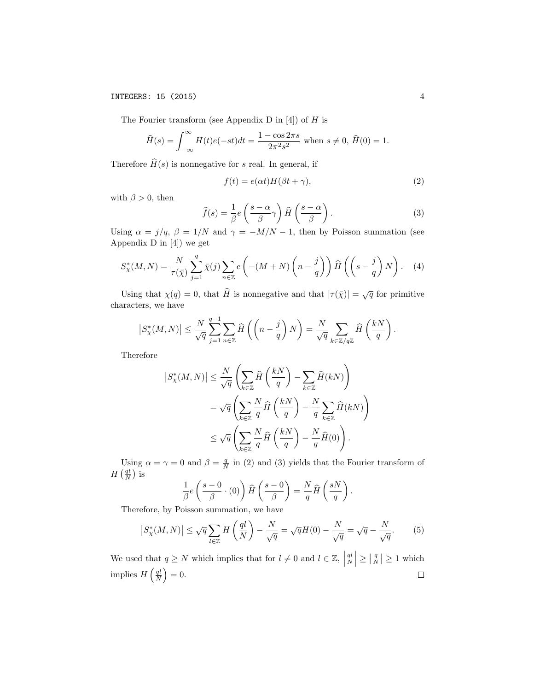The Fourier transform (see Appendix D in  $[4]$ ) of H is

$$
\widehat{H}(s) = \int_{-\infty}^{\infty} H(t)e(-st)dt = \frac{1 - \cos 2\pi s}{2\pi^2 s^2} \text{ when } s \neq 0, \widehat{H}(0) = 1.
$$

Therefore  $\widehat{H}(s)$  is nonnegative for s real. In general, if

$$
f(t) = e(\alpha t)H(\beta t + \gamma),\tag{2}
$$

with  $\beta > 0$ , then

$$
\widehat{f}(s) = \frac{1}{\beta} e\left(\frac{s-\alpha}{\beta}\gamma\right) \widehat{H}\left(\frac{s-\alpha}{\beta}\right). \tag{3}
$$

Using  $\alpha = j/q$ ,  $\beta = 1/N$  and  $\gamma = -M/N - 1$ , then by Poisson summation (see Appendix D in [4]) we get

$$
S_{\chi}^*(M,N) = \frac{N}{\tau(\bar{\chi})} \sum_{j=1}^q \bar{\chi}(j) \sum_{n \in \mathbb{Z}} e\left( -(M+N) \left( n - \frac{j}{q} \right) \right) \hat{H}\left( \left( s - \frac{j}{q} \right) N \right). \tag{4}
$$

Using that  $\chi(q) = 0$ , that  $\widehat{H}$  is nonnegative and that  $|\tau(\bar{\chi})| = \sqrt{q}$  for primitive characters, we have

$$
\left|S^*_\chi(M,N)\right| \leq \frac{N}{\sqrt{q}} \sum_{j=1}^{q-1} \sum_{n \in \mathbb{Z}} \widehat{H}\left(\left(n-\frac{j}{q}\right)N\right) = \frac{N}{\sqrt{q}} \sum_{k \in \mathbb{Z}/q\mathbb{Z}} \widehat{H}\left(\frac{kN}{q}\right).
$$

Therefore

$$
\begin{split} \left| S_{\chi}^*(M,N) \right| &\leq \frac{N}{\sqrt{q}} \left( \sum_{k \in \mathbb{Z}} \hat{H}\left(\frac{kN}{q}\right) - \sum_{k \in \mathbb{Z}} \hat{H}(kN) \right) \\ & = \sqrt{q} \left( \sum_{k \in \mathbb{Z}} \frac{N}{q} \hat{H}\left(\frac{kN}{q}\right) - \frac{N}{q} \sum_{k \in \mathbb{Z}} \hat{H}(kN) \right) \\ & \leq \sqrt{q} \left( \sum_{k \in \mathbb{Z}} \frac{N}{q} \hat{H}\left(\frac{kN}{q}\right) - \frac{N}{q} \hat{H}(0) \right). \end{split}
$$

Using  $\alpha = \gamma = 0$  and  $\beta = \frac{q}{N}$  in (2) and (3) yields that the Fourier transform of  $H\left(\frac{qt}{N}\right)$  is

$$
\frac{1}{\beta}e\left(\frac{s-0}{\beta}\cdot(0)\right)\hat{H}\left(\frac{s-0}{\beta}\right)=\frac{N}{q}\hat{H}\left(\frac{sN}{q}\right).
$$

Therefore, by Poisson summation, we have

$$
\left|S^*_{\chi}(M,N)\right| \le \sqrt{q} \sum_{l \in \mathbb{Z}} H\left(\frac{ql}{N}\right) - \frac{N}{\sqrt{q}} = \sqrt{q}H(0) - \frac{N}{\sqrt{q}} = \sqrt{q} - \frac{N}{\sqrt{q}}.\tag{5}
$$

We used that  $q \geq N$  which implies that for  $l \neq 0$  and  $l \in \mathbb{Z}$ ,  $\left|\frac{q l}{N}\right| \ge \left|\frac{q}{N}\right| \ge 1$  which implies  $H\left(\frac{ql}{N}\right) = 0.$  $\Box$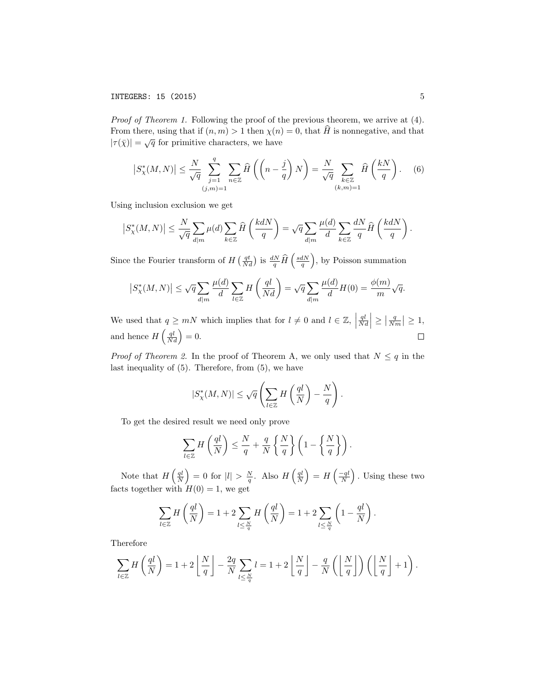Proof of Theorem 1. Following the proof of the previous theorem, we arrive at  $(4)$ . From there, using that if  $(n, m) > 1$  then  $\chi(n) = 0$ , that H is nonnegative, and that From there, using that if  $(n, m) > 1$  then  $\chi(n)$ <br> $|\tau(\bar{\chi})| = \sqrt{q}$  for primitive characters, we have

$$
\left|S_{\chi}^*(M,N)\right| \le \frac{N}{\sqrt{q}} \sum_{\substack{j=1 \ (j,m)=1}}^q \sum_{n \in \mathbb{Z}} \widehat{H}\left(\left(n - \frac{j}{q}\right)N\right) = \frac{N}{\sqrt{q}} \sum_{\substack{k \in \mathbb{Z} \ (k,m)=1}} \widehat{H}\left(\frac{kN}{q}\right). \tag{6}
$$

Using inclusion exclusion we get

$$
\left|S^*_\chi(M,N)\right|\leq \frac{N}{\sqrt{q}}\sum_{d|m}\mu(d)\sum_{k\in\mathbb{Z}}\widehat{H}\left(\frac{kdN}{q}\right)=\sqrt{q}\sum_{d|m}\frac{\mu(d)}{d}\sum_{k\in\mathbb{Z}}\frac{dN}{q}\widehat{H}\left(\frac{kdN}{q}\right).
$$

Since the Fourier transform of  $H\left(\frac{qt}{Nd}\right)$  is  $\frac{dN}{q}\hat{H}\left(\frac{sdN}{q}\right)$ , by Poisson summation

$$
\left|S^*_{\chi}(M,N)\right| \le \sqrt{q} \sum_{d|m} \frac{\mu(d)}{d} \sum_{l \in \mathbb{Z}} H\left(\frac{ql}{Nd}\right) = \sqrt{q} \sum_{d|m} \frac{\mu(d)}{d} H(0) = \frac{\phi(m)}{m} \sqrt{q}.
$$

We used that  $q \geq mN$  which implies that for  $l \neq 0$  and  $l \in \mathbb{Z}$ ,  $\left|\frac{ql}{Nd}\right| \ge \left|\frac{q}{Nm}\right| \ge 1,$ and hence  $H\left(\frac{ql}{Nd}\right)=0.$  $\Box$ 

*Proof of Theorem 2.* In the proof of Theorem A, we only used that  $N \leq q$  in the last inequality of (5). Therefore, from (5), we have

$$
|S_{\chi}^*(M,N)| \leq \sqrt{q} \left( \sum_{l \in \mathbb{Z}} H\left(\frac{ql}{N}\right) - \frac{N}{q} \right).
$$

To get the desired result we need only prove

$$
\sum_{l\in\mathbb{Z}} H\left(\frac{ql}{N}\right) \le \frac{N}{q} + \frac{q}{N} \left\{\frac{N}{q}\right\} \left(1 - \left\{\frac{N}{q}\right\}\right).
$$

Note that  $H\left(\frac{ql}{N}\right) = 0$  for  $|l| > \frac{N}{q}$ . Also  $H\left(\frac{ql}{N}\right) = H\left(\frac{-ql}{N}\right)$ . Using these two facts together with  $H(0) = 1$ , we get

$$
\sum_{l \in \mathbb{Z}} H\left(\frac{ql}{N}\right) = 1 + 2 \sum_{l \leq \frac{N}{q}} H\left(\frac{ql}{N}\right) = 1 + 2 \sum_{l \leq \frac{N}{q}} \left(1 - \frac{ql}{N}\right).
$$

Therefore

$$
\sum_{l\in\mathbb{Z}} H\left(\frac{ql}{N}\right) = 1 + 2\left\lfloor\frac{N}{q}\right\rfloor - \frac{2q}{N} \sum_{l\leq\frac{N}{q}} l = 1 + 2\left\lfloor\frac{N}{q}\right\rfloor - \frac{q}{N}\left(\left\lfloor\frac{N}{q}\right\rfloor\right)\left(\left\lfloor\frac{N}{q}\right\rfloor + 1\right).
$$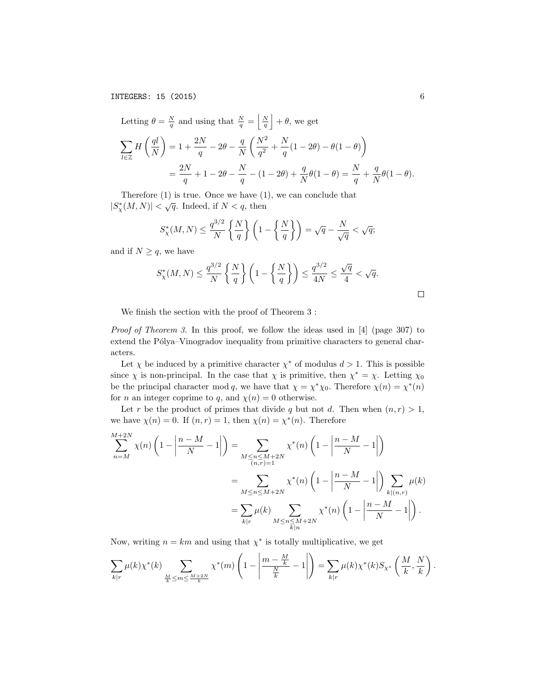INTEGERS: 15 (2015) 6

Letting 
$$
\theta = \frac{N}{q}
$$
 and using that  $\frac{N}{q} = \left\lfloor \frac{N}{q} \right\rfloor + \theta$ , we get  
\n
$$
\sum_{l \in \mathbb{Z}} H\left(\frac{ql}{N}\right) = 1 + \frac{2N}{q} - 2\theta - \frac{q}{N} \left(\frac{N^2}{q^2} + \frac{N}{q}(1 - 2\theta) - \theta(1 - \theta)\right)
$$
\n
$$
= \frac{2N}{q} + 1 - 2\theta - \frac{N}{q} - (1 - 2\theta) + \frac{q}{N}\theta(1 - \theta) = \frac{N}{q} + \frac{q}{N}\theta(1 - \theta).
$$

Therefore (1) is true. Once we have (1), we can conclude that  $|S^*_{\chi}(M,N)| < \sqrt{q}$ . Indeed, if  $N < q$ , then

$$
S_{\chi}^*(M,N) \le \frac{q^{3/2}}{N} \left\{ \frac{N}{q} \right\} \left( 1 - \left\{ \frac{N}{q} \right\} \right) = \sqrt{q} - \frac{N}{\sqrt{q}} < \sqrt{q};
$$

and if  $N \geq q$ , we have

$$
S^*_{\chi}(M,N) \le \frac{q^{3/2}}{N} \left\{ \frac{N}{q} \right\} \left( 1 - \left\{ \frac{N}{q} \right\} \right) \le \frac{q^{3/2}}{4N} \le \frac{\sqrt{q}}{4} < \sqrt{q}.
$$

We finish the section with the proof of Theorem 3 :

Proof of Theorem 3. In this proof, we follow the ideas used in [4] (page 307) to extend the Pólya–Vinogradov inequality from primitive characters to general characters.

Let  $\chi$  be induced by a primitive character  $\chi^*$  of modulus  $d > 1$ . This is possible since  $\chi$  is non-principal. In the case that  $\chi$  is primitive, then  $\chi^* = \chi$ . Letting  $\chi_0$ be the principal character mod q, we have that  $\chi = \chi^* \chi_0$ . Therefore  $\chi(n) = \chi^*(n)$ for *n* an integer coprime to *q*, and  $\chi(n) = 0$  otherwise.

Let r be the product of primes that divide q but not d. Then when  $(n, r) > 1$ , we have  $\chi(n) = 0$ . If  $(n, r) = 1$ , then  $\chi(n) = \chi^*(n)$ . Therefore

$$
\sum_{n=M}^{M+2N} \chi(n) \left( 1 - \left| \frac{n-M}{N} - 1 \right| \right) = \sum_{\substack{M \le n \le M+2N \\ (n,r)=1}} \chi^*(n) \left( 1 - \left| \frac{n-M}{N} - 1 \right| \right)
$$
  
= 
$$
\sum_{M \le n \le M+2N} \chi^*(n) \left( 1 - \left| \frac{n-M}{N} - 1 \right| \right) \sum_{k|(n,r)} \mu(k)
$$
  
= 
$$
\sum_{k|r} \mu(k) \sum_{\substack{M \le n \le M+2N \\ k|n}} \chi^*(n) \left( 1 - \left| \frac{n-M}{N} - 1 \right| \right).
$$

Now, writing  $n = km$  and using that  $\chi^*$  is totally multiplicative, we get

$$
\sum_{k|r} \mu(k) \chi^*(k) \sum_{\frac{M}{k} \le m \le \frac{M+2N}{k}} \chi^*(m) \left(1 - \left|\frac{m - \frac{M}{k}}{\frac{N}{k}} - 1\right|\right) = \sum_{k|r} \mu(k) \chi^*(k) S_{\chi^*} \left(\frac{M}{k}, \frac{N}{k}\right).
$$

 $\Box$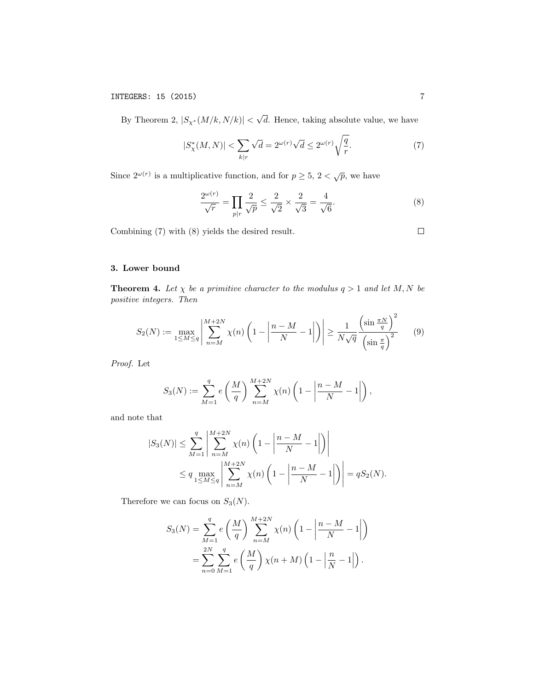By Theorem 2,  $|S_{\chi^*}(M/k, N/k)| <$ √ d. Hence, taking absolute value, we have

$$
|S^*_{\chi}(M,N)| < \sum_{k|r} \sqrt{d} = 2^{\omega(r)} \sqrt{d} \le 2^{\omega(r)} \sqrt{\frac{q}{r}}.\tag{7}
$$

Since  $2^{\omega(r)}$  is a multiplicative function, and for  $p \geq 5$ ,  $2 < \sqrt{p}$ , we have

$$
\frac{2^{\omega(r)}}{\sqrt{r}} = \prod_{p|r} \frac{2}{\sqrt{p}} \le \frac{2}{\sqrt{2}} \times \frac{2}{\sqrt{3}} = \frac{4}{\sqrt{6}}.
$$
 (8)

Combining (7) with (8) yields the desired result.

# 3. Lower bound

**Theorem 4.** Let  $\chi$  be a primitive character to the modulus  $q > 1$  and let M, N be positive integers. Then

$$
S_2(N) := \max_{1 \le M \le q} \left| \sum_{n=M}^{M+2N} \chi(n) \left( 1 - \left| \frac{n-M}{N} - 1 \right| \right) \right| \ge \frac{1}{N\sqrt{q}} \frac{\left( \sin \frac{\pi N}{q} \right)^2}{\left( \sin \frac{\pi}{q} \right)^2} \tag{9}
$$

Proof. Let

$$
S_3(N) := \sum_{M=1}^{q} e\left(\frac{M}{q}\right) \sum_{n=M}^{M+2N} \chi(n) \left(1 - \left|\frac{n-M}{N} - 1\right|\right),
$$

and note that

$$
|S_3(N)| \le \sum_{M=1}^q \left| \sum_{n=M}^{M+2N} \chi(n) \left( 1 - \left| \frac{n-M}{N} - 1 \right| \right) \right|
$$
  
 
$$
\le q \max_{1 \le M \le q} \left| \sum_{n=M}^{M+2N} \chi(n) \left( 1 - \left| \frac{n-M}{N} - 1 \right| \right) \right| = qS_2(N).
$$

Therefore we can focus on  $S_3(N)$ .

$$
S_3(N) = \sum_{M=1}^{q} e\left(\frac{M}{q}\right) \sum_{n=M}^{M+2N} \chi(n) \left(1 - \left|\frac{n-M}{N} - 1\right|\right)
$$
  
= 
$$
\sum_{n=0}^{2N} \sum_{M=1}^{q} e\left(\frac{M}{q}\right) \chi(n+M) \left(1 - \left|\frac{n}{N} - 1\right|\right).
$$

 $\Box$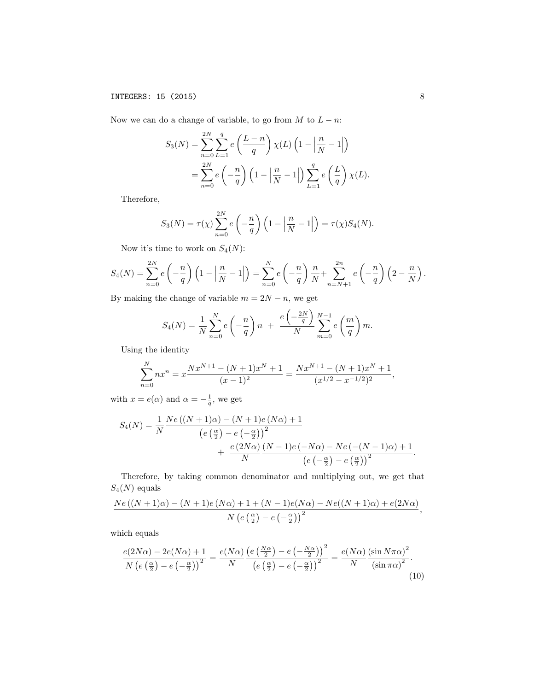Now we can do a change of variable, to go from  $M$  to  $L - n$ :

$$
S_3(N) = \sum_{n=0}^{2N} \sum_{L=1}^{q} e\left(\frac{L-n}{q}\right) \chi(L) \left(1 - \left|\frac{n}{N} - 1\right|\right)
$$
  
= 
$$
\sum_{n=0}^{2N} e\left(-\frac{n}{q}\right) \left(1 - \left|\frac{n}{N} - 1\right|\right) \sum_{L=1}^{q} e\left(\frac{L}{q}\right) \chi(L).
$$

Therefore,

$$
S_3(N) = \tau(\chi) \sum_{n=0}^{2N} e\left(-\frac{n}{q}\right) \left(1 - \left|\frac{n}{N} - 1\right|\right) = \tau(\chi) S_4(N).
$$

Now it's time to work on  $S_4(N)$ :

$$
S_4(N) = \sum_{n=0}^{2N} e\left(-\frac{n}{q}\right) \left(1 - \left|\frac{n}{N} - 1\right|\right) = \sum_{n=0}^{N} e\left(-\frac{n}{q}\right) \frac{n}{N} + \sum_{n=N+1}^{2n} e\left(-\frac{n}{q}\right) \left(2 - \frac{n}{N}\right).
$$

By making the change of variable  $m = 2N - n$ , we get

$$
S_4(N) = \frac{1}{N} \sum_{n=0}^{N} e\left(-\frac{n}{q}\right) n + \frac{e\left(-\frac{2N}{q}\right)}{N} \sum_{m=0}^{N-1} e\left(\frac{m}{q}\right) m.
$$

Using the identity

$$
\sum_{n=0}^{N} nx^{n} = x \frac{Nx^{N+1} - (N+1)x^{N} + 1}{(x-1)^{2}} = \frac{Nx^{N+1} - (N+1)x^{N} + 1}{(x^{1/2} - x^{-1/2})^{2}},
$$

with  $x = e(\alpha)$  and  $\alpha = -\frac{1}{q}$ , we get

$$
S_4(N) = \frac{1}{N} \frac{Ne\left((N+1)\alpha\right) - (N+1)e\left(N\alpha\right) + 1}{\left(e\left(\frac{\alpha}{2}\right) - e\left(-\frac{\alpha}{2}\right)\right)^2} + \frac{e\left(2N\alpha\right)\left(N-1\right)e\left(-N\alpha\right) - Ne\left(-(N-1)\alpha\right) + 1}{\left(e\left(-\frac{\alpha}{2}\right) - e\left(\frac{\alpha}{2}\right)\right)^2}.
$$

Therefore, by taking common denominator and multiplying out, we get that  $S_4({\cal N})$  equals

$$
\frac{Ne\left((N+1)\alpha\right)-(N+1)e\left(N\alpha\right)+1+(N-1)e(N\alpha)-Ne((N+1)\alpha)+e(2N\alpha)}{N\left(e\left(\frac{\alpha}{2}\right)-e\left(-\frac{\alpha}{2}\right)\right)^2},
$$

which equals

$$
\frac{e(2N\alpha) - 2e(N\alpha) + 1}{N\left(e\left(\frac{\alpha}{2}\right) - e\left(-\frac{\alpha}{2}\right)\right)^2} = \frac{e(N\alpha)}{N} \frac{\left(e\left(\frac{N\alpha}{2}\right) - e\left(-\frac{N\alpha}{2}\right)\right)^2}{\left(e\left(\frac{\alpha}{2}\right) - e\left(-\frac{\alpha}{2}\right)\right)^2} = \frac{e(N\alpha)}{N} \frac{\left(\sin N\pi\alpha\right)^2}{\left(\sin \pi\alpha\right)^2}.
$$
\n(10)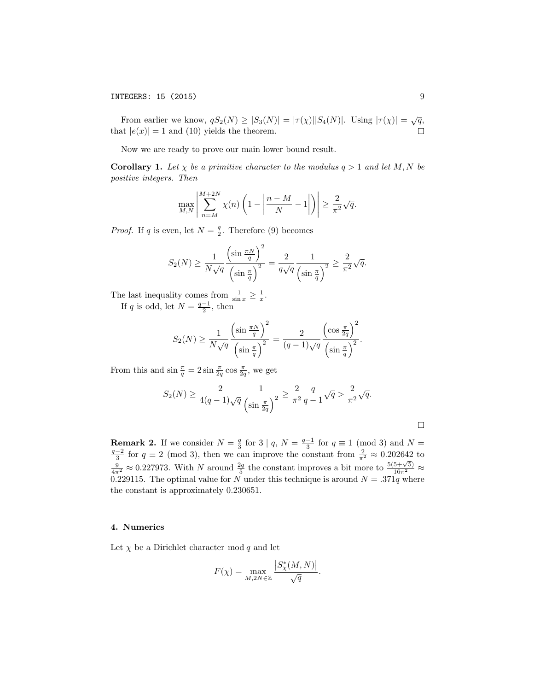From earlier we know,  $qS_2(N) \geq |S_3(N)| = |\tau(\chi)||S_4(N)|$ . Using  $|\tau(\chi)| = \sqrt{q}$ , that  $|e(x)| = 1$  and (10) yields the theorem.

Now we are ready to prove our main lower bound result.

**Corollary 1.** Let  $\chi$  be a primitive character to the modulus  $q > 1$  and let M, N be positive integers. Then

$$
\max_{M,N} \left| \sum_{n=M}^{M+2N} \chi(n) \left( 1 - \left| \frac{n-M}{N} - 1 \right| \right) \right| \ge \frac{2}{\pi^2} \sqrt{q}.
$$

*Proof.* If q is even, let  $N = \frac{q}{2}$ . Therefore (9) becomes

$$
S_2(N) \ge \frac{1}{N\sqrt{q}} \frac{\left(\sin \frac{\pi N}{q}\right)^2}{\left(\sin \frac{\pi}{q}\right)^2} = \frac{2}{q\sqrt{q}} \frac{1}{\left(\sin \frac{\pi}{q}\right)^2} \ge \frac{2}{\pi^2} \sqrt{q}.
$$

The last inequality comes from  $\frac{1}{\sin x} \geq \frac{1}{x}$ .

If q is odd, let  $N = \frac{q-1}{2}$ , then

$$
S_2(N) \ge \frac{1}{N\sqrt{q}} \frac{\left(\sin \frac{\pi N}{q}\right)^2}{\left(\sin \frac{\pi}{q}\right)^2} = \frac{2}{(q-1)\sqrt{q}} \frac{\left(\cos \frac{\pi}{2q}\right)^2}{\left(\sin \frac{\pi}{q}\right)^2}.
$$

From this and  $\sin \frac{\pi}{q} = 2 \sin \frac{\pi}{2q} \cos \frac{\pi}{2q}$ , we get

$$
S_2(N) \ge \frac{2}{4(q-1)\sqrt{q}} \frac{1}{\left(\sin \frac{\pi}{2q}\right)^2} \ge \frac{2}{\pi^2} \frac{q}{q-1} \sqrt{q} > \frac{2}{\pi^2} \sqrt{q}.
$$

**Remark 2.** If we consider  $N = \frac{q}{3}$  for  $3 \mid q$ ,  $N = \frac{q-1}{3}$  for  $q \equiv 1 \pmod{3}$  and  $N = \frac{q-2}{3}$  for  $q \equiv 2 \pmod{3}$ , then we can improve the constant from  $\frac{2}{\pi^2} \approx 0.202642$  to  $\frac{9}{\sqrt[3]{4\pi^2}} \approx 0.227973$ . With N around  $\frac{2q}{5}$  the constant improves a bit more to  $\frac{5(5+\sqrt{5})}{16\pi^2} \approx$ 0.229115. The optimal value for N under this technique is around  $N = .371q$  where the constant is approximately 0.230651.

### 4. Numerics

Let  $\chi$  be a Dirichlet character mod q and let

$$
F(\chi) = \max_{M, 2N \in \mathbb{Z}} \frac{|S_{\chi}^*(M, N)|}{\sqrt{q}}.
$$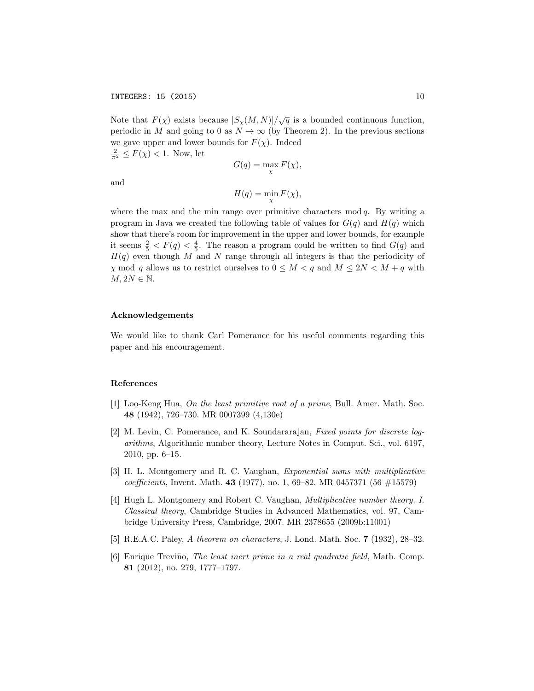Note that  $F(\chi)$  exists because  $|S_{\chi}(M,N)|/\sqrt{q}$  is a bounded continuous function, periodic in M and going to 0 as  $N \to \infty$  (by Theorem 2). In the previous sections we gave upper and lower bounds for  $F(\chi)$ . Indeed  $\frac{2}{\pi^2} \leq F(\chi) < 1$ . Now, let

$$
G(q) = \max_{\chi} F(\chi),
$$

and

$$
H(q) = \min_{\chi} F(\chi),
$$

where the max and the min range over primitive characters  $mod q$ . By writing a program in Java we created the following table of values for  $G(q)$  and  $H(q)$  which show that there's room for improvement in the upper and lower bounds, for example it seems  $\frac{2}{5}$  <  $F(q)$  <  $\frac{4}{5}$ . The reason a program could be written to find  $G(q)$  and  $H(q)$  even though M and N range through all integers is that the periodicity of  $\chi$  mod q allows us to restrict ourselves to  $0 \leq M < q$  and  $M \leq 2N < M + q$  with  $M, 2N \in \mathbb{N}$ .

## Acknowledgements

We would like to thank Carl Pomerance for his useful comments regarding this paper and his encouragement.

### References

- [1] Loo-Keng Hua, On the least primitive root of a prime, Bull. Amer. Math. Soc. 48 (1942), 726–730. MR 0007399 (4,130e)
- [2] M. Levin, C. Pomerance, and K. Soundararajan, Fixed points for discrete logarithms, Algorithmic number theory, Lecture Notes in Comput. Sci., vol. 6197, 2010, pp. 6–15.
- [3] H. L. Montgomery and R. C. Vaughan, Exponential sums with multiplicative coefficients, Invent. Math. 43 (1977), no. 1, 69–82. MR 0457371 (56  $\#15579$ )
- [4] Hugh L. Montgomery and Robert C. Vaughan, Multiplicative number theory. I. Classical theory, Cambridge Studies in Advanced Mathematics, vol. 97, Cambridge University Press, Cambridge, 2007. MR 2378655 (2009b:11001)
- [5] R.E.A.C. Paley, A theorem on characters, J. Lond. Math. Soc. 7 (1932), 28–32.
- [6] Enrique Treviño, *The least inert prime in a real quadratic field*, Math. Comp. 81 (2012), no. 279, 1777–1797.